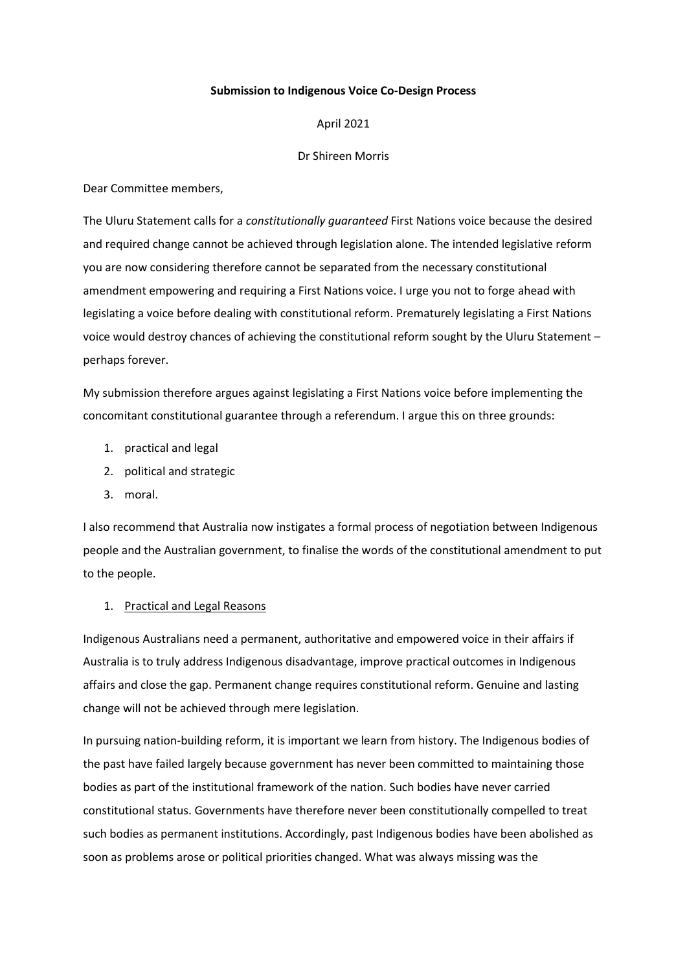### **Submission to Indigenous Voice Co-Design Process**

#### April 2021

#### Dr Shireen Morris

Dear Committee members,

The Uluru Statement calls for a *constitutionally guaranteed* First Nations voice because the desired and required change cannot be achieved through legislation alone. The intended legislative reform you are now considering therefore cannot be separated from the necessary constitutional amendment empowering and requiring a First Nations voice. I urge you not to forge ahead with legislating a voice before dealing with constitutional reform. Prematurely legislating a First Nations voice would destroy chances of achieving the constitutional reform sought by the Uluru Statement – perhaps forever.

My submission therefore argues against legislating a First Nations voice before implementing the concomitant constitutional guarantee through a referendum. I argue this on three grounds:

- 1. practical and legal
- 2. political and strategic
- 3. moral.

I also recommend that Australia now instigates a formal process of negotiation between Indigenous people and the Australian government, to finalise the words of the constitutional amendment to put to the people.

### 1. Practical and Legal Reasons

Indigenous Australians need a permanent, authoritative and empowered voice in their affairs if Australia is to truly address Indigenous disadvantage, improve practical outcomes in Indigenous affairs and close the gap. Permanent change requires constitutional reform. Genuine and lasting change will not be achieved through mere legislation.

In pursuing nation-building reform, it is important we learn from history. The Indigenous bodies of the past have failed largely because government has never been committed to maintaining those bodies as part of the institutional framework of the nation. Such bodies have never carried constitutional status. Governments have therefore never been constitutionally compelled to treat such bodies as permanent institutions. Accordingly, past Indigenous bodies have been abolished as soon as problems arose or political priorities changed. What was always missing was the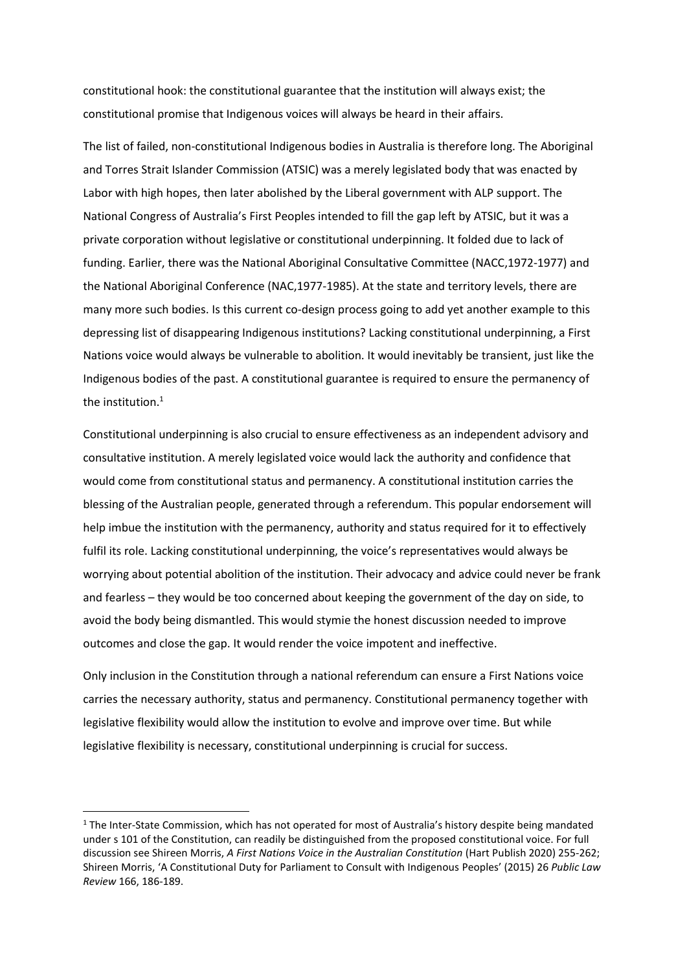constitutional hook: the constitutional guarantee that the institution will always exist; the constitutional promise that Indigenous voices will always be heard in their affairs.

The list of failed, non-constitutional Indigenous bodies in Australia is therefore long. The Aboriginal and Torres Strait Islander Commission (ATSIC) was a merely legislated body that was enacted by Labor with high hopes, then later abolished by the Liberal government with ALP support. The National Congress of Australia's First Peoples intended to fill the gap left by ATSIC, but it was a private corporation without legislative or constitutional underpinning. It folded due to lack of funding. Earlier, there was the National Aboriginal Consultative Committee (NACC,1972-1977) and the National Aboriginal Conference (NAC,1977-1985). At the state and territory levels, there are many more such bodies. Is this current co-design process going to add yet another example to this depressing list of disappearing Indigenous institutions? Lacking constitutional underpinning, a First Nations voice would always be vulnerable to abolition. It would inevitably be transient, just like the Indigenous bodies of the past. A constitutional guarantee is required to ensure the permanency of the institution.<sup>1</sup>

Constitutional underpinning is also crucial to ensure effectiveness as an independent advisory and consultative institution. A merely legislated voice would lack the authority and confidence that would come from constitutional status and permanency. A constitutional institution carries the blessing of the Australian people, generated through a referendum. This popular endorsement will help imbue the institution with the permanency, authority and status required for it to effectively fulfil its role. Lacking constitutional underpinning, the voice's representatives would always be worrying about potential abolition of the institution. Their advocacy and advice could never be frank and fearless – they would be too concerned about keeping the government of the day on side, to avoid the body being dismantled. This would stymie the honest discussion needed to improve outcomes and close the gap. It would render the voice impotent and ineffective.

Only inclusion in the Constitution through a national referendum can ensure a First Nations voice carries the necessary authority, status and permanency. Constitutional permanency together with legislative flexibility would allow the institution to evolve and improve over time. But while legislative flexibility is necessary, constitutional underpinning is crucial for success.

 $1$  The Inter-State Commission, which has not operated for most of Australia's history despite being mandated under s 101 of the Constitution, can readily be distinguished from the proposed constitutional voice. For full discussion see Shireen Morris, *A First Nations Voice in the Australian Constitution* (Hart Publish 2020) 255-262; Shireen Morris, 'A Constitutional Duty for Parliament to Consult with Indigenous Peoples' (2015) 26 *Public Law Review* 166, 186-189.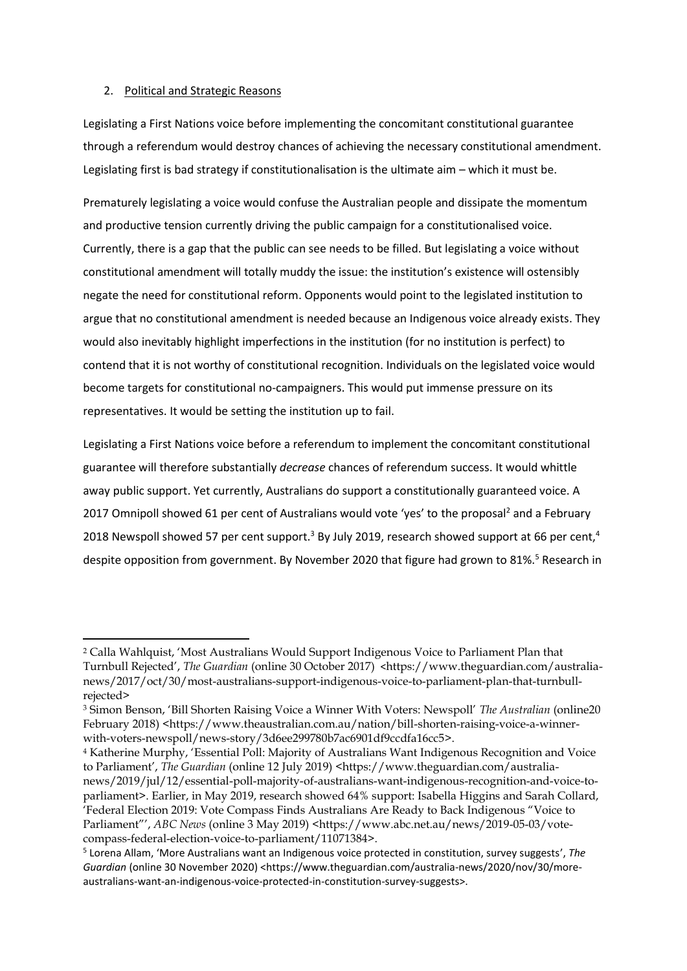## 2. Political and Strategic Reasons

Legislating a First Nations voice before implementing the concomitant constitutional guarantee through a referendum would destroy chances of achieving the necessary constitutional amendment. Legislating first is bad strategy if constitutionalisation is the ultimate aim – which it must be.

Prematurely legislating a voice would confuse the Australian people and dissipate the momentum and productive tension currently driving the public campaign for a constitutionalised voice. Currently, there is a gap that the public can see needs to be filled. But legislating a voice without constitutional amendment will totally muddy the issue: the institution's existence will ostensibly negate the need for constitutional reform. Opponents would point to the legislated institution to argue that no constitutional amendment is needed because an Indigenous voice already exists. They would also inevitably highlight imperfections in the institution (for no institution is perfect) to contend that it is not worthy of constitutional recognition. Individuals on the legislated voice would become targets for constitutional no-campaigners. This would put immense pressure on its representatives. It would be setting the institution up to fail.

Legislating a First Nations voice before a referendum to implement the concomitant constitutional guarantee will therefore substantially *decrease* chances of referendum success. It would whittle away public support. Yet currently, Australians do support a constitutionally guaranteed voice. A 2017 Omnipoll showed 61 per cent of Australians would vote 'yes' to the proposal<sup>2</sup> and a February 2018 Newspoll showed 57 per cent support.<sup>3</sup> By July 2019, research showed support at 66 per cent,<sup>4</sup> despite opposition from government. By November 2020 that figure had grown to 81%.<sup>5</sup> Research in

<sup>2</sup> Calla Wahlquist, 'Most Australians Would Support Indigenous Voice to Parliament Plan that Turnbull Rejected', *The Guardian* (online 30 October 2017) <https://www.theguardian.com/australianews/2017/oct/30/most-australians-support-indigenous-voice-to-parliament-plan-that-turnbullrejected>

<sup>3</sup> Simon Benson, 'Bill Shorten Raising Voice a Winner With Voters: Newspoll' *The Australian* (online20 February 2018) <https://www.theaustralian.com.au/nation/bill-shorten-raising-voice-a-winnerwith-voters-newspoll/news-story/3d6ee299780b7ac6901df9ccdfa16cc5>.

<sup>4</sup> Katherine Murphy, 'Essential Poll: Majority of Australians Want Indigenous Recognition and Voice to Parliament', *The Guardian* (online 12 July 2019) <https://www.theguardian.com/australianews/2019/jul/12/essential-poll-majority-of-australians-want-indigenous-recognition-and-voice-toparliament>. Earlier, in May 2019, research showed 64% support: Isabella Higgins and Sarah Collard, 'Federal Election 2019: Vote Compass Finds Australians Are Ready to Back Indigenous "Voice to Parliament"', *ABC News* (online 3 May 2019) <https://www.abc.net.au/news/2019-05-03/votecompass-federal-election-voice-to-parliament/11071384>.

<sup>5</sup> Lorena Allam, 'More Australians want an Indigenous voice protected in constitution, survey suggests', *The*  Guardian (online 30 November 2020) <https://www.theguardian.com/australia-news/2020/nov/30/moreaustralians-want-an-indigenous-voice-protected-in-constitution-survey-suggests>.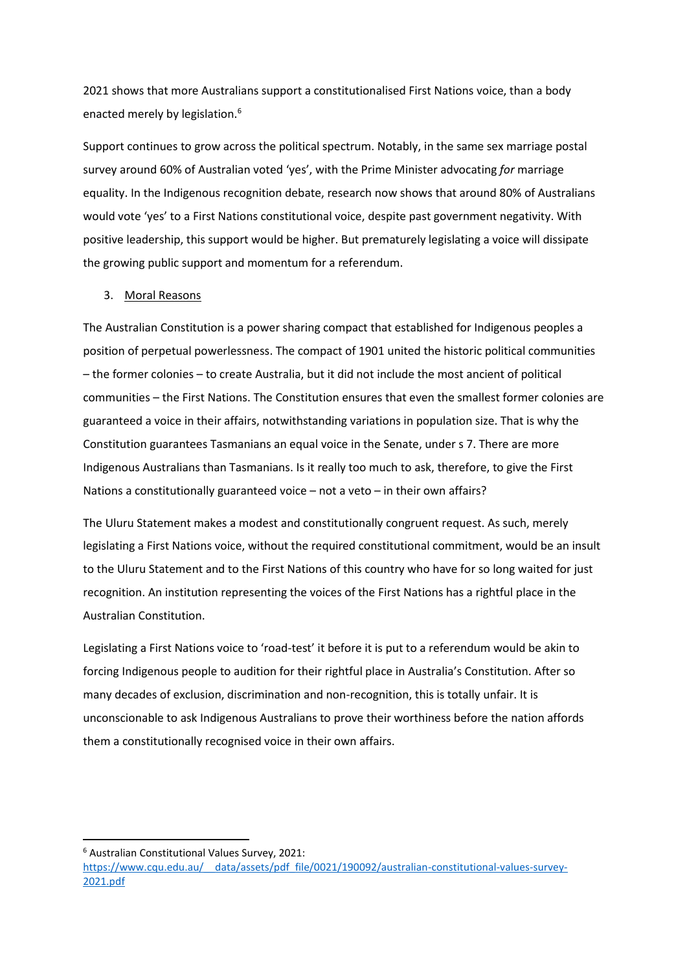2021 shows that more Australians support a constitutionalised First Nations voice, than a body enacted merely by legislation.<sup>6</sup>

Support continues to grow across the political spectrum. Notably, in the same sex marriage postal survey around 60% of Australian voted 'yes', with the Prime Minister advocating *for* marriage equality. In the Indigenous recognition debate, research now shows that around 80% of Australians would vote 'yes' to a First Nations constitutional voice, despite past government negativity. With positive leadership, this support would be higher. But prematurely legislating a voice will dissipate the growing public support and momentum for a referendum.

# 3. Moral Reasons

The Australian Constitution is a power sharing compact that established for Indigenous peoples a position of perpetual powerlessness. The compact of 1901 united the historic political communities – the former colonies – to create Australia, but it did not include the most ancient of political communities – the First Nations. The Constitution ensures that even the smallest former colonies are guaranteed a voice in their affairs, notwithstanding variations in population size. That is why the Constitution guarantees Tasmanians an equal voice in the Senate, under s 7. There are more Indigenous Australians than Tasmanians. Is it really too much to ask, therefore, to give the First Nations a constitutionally guaranteed voice – not a veto – in their own affairs?

The Uluru Statement makes a modest and constitutionally congruent request. As such, merely legislating a First Nations voice, without the required constitutional commitment, would be an insult to the Uluru Statement and to the First Nations of this country who have for so long waited for just recognition. An institution representing the voices of the First Nations has a rightful place in the Australian Constitution.

Legislating a First Nations voice to 'road-test' it before it is put to a referendum would be akin to forcing Indigenous people to audition for their rightful place in Australia's Constitution. After so many decades of exclusion, discrimination and non-recognition, this is totally unfair. It is unconscionable to ask Indigenous Australians to prove their worthiness before the nation affords them a constitutionally recognised voice in their own affairs.

<sup>6</sup> Australian Constitutional Values Survey, 2021:

https://www.cqu.edu.au/ data/assets/pdf file/0021/190092/australian-constitutional-values-survey-[2021.pdf](https://www.cqu.edu.au/__data/assets/pdf_file/0021/190092/australian-constitutional-values-survey-2021.pdf)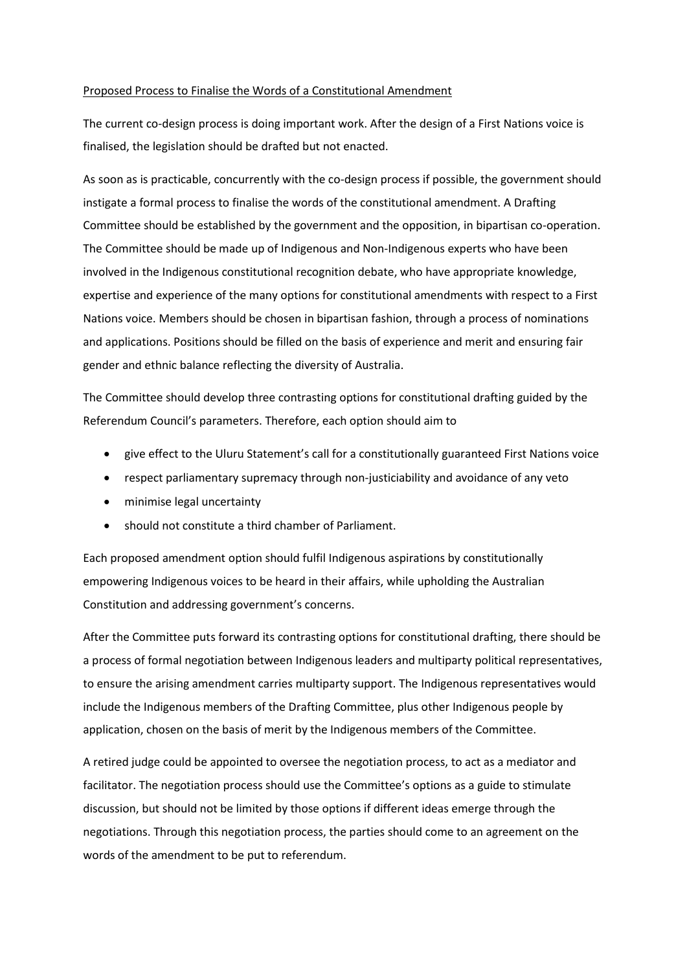## Proposed Process to Finalise the Words of a Constitutional Amendment

The current co-design process is doing important work. After the design of a First Nations voice is finalised, the legislation should be drafted but not enacted.

As soon as is practicable, concurrently with the co-design process if possible, the government should instigate a formal process to finalise the words of the constitutional amendment. A Drafting Committee should be established by the government and the opposition, in bipartisan co-operation. The Committee should be made up of Indigenous and Non-Indigenous experts who have been involved in the Indigenous constitutional recognition debate, who have appropriate knowledge, expertise and experience of the many options for constitutional amendments with respect to a First Nations voice. Members should be chosen in bipartisan fashion, through a process of nominations and applications. Positions should be filled on the basis of experience and merit and ensuring fair gender and ethnic balance reflecting the diversity of Australia.

The Committee should develop three contrasting options for constitutional drafting guided by the Referendum Council's parameters. Therefore, each option should aim to

- give effect to the Uluru Statement's call for a constitutionally guaranteed First Nations voice
- respect parliamentary supremacy through non-justiciability and avoidance of any veto
- minimise legal uncertainty
- should not constitute a third chamber of Parliament.

Each proposed amendment option should fulfil Indigenous aspirations by constitutionally empowering Indigenous voices to be heard in their affairs, while upholding the Australian Constitution and addressing government's concerns.

After the Committee puts forward its contrasting options for constitutional drafting, there should be a process of formal negotiation between Indigenous leaders and multiparty political representatives, to ensure the arising amendment carries multiparty support. The Indigenous representatives would include the Indigenous members of the Drafting Committee, plus other Indigenous people by application, chosen on the basis of merit by the Indigenous members of the Committee.

A retired judge could be appointed to oversee the negotiation process, to act as a mediator and facilitator. The negotiation process should use the Committee's options as a guide to stimulate discussion, but should not be limited by those options if different ideas emerge through the negotiations. Through this negotiation process, the parties should come to an agreement on the words of the amendment to be put to referendum.